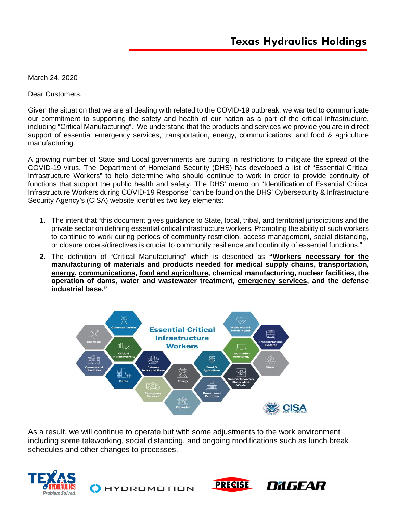March 24, 2020

Dear Customers,

Given the situation that we are all dealing with related to the COVID-19 outbreak, we wanted to communicate our commitment to supporting the safety and health of our nation as a part of the critical infrastructure, including "Critical Manufacturing". We understand that the products and services we provide you are in direct support of essential emergency services, transportation, energy, communications, and food & agriculture manufacturing.

A growing number of State and Local governments are putting in restrictions to mitigate the spread of the COVID-19 virus. The Department of Homeland Security (DHS) has developed a list of "Essential Critical Infrastructure Workers" to help determine who should continue to work in order to provide continuity of functions that support the public health and safety. The DHS' memo on "Identification of Essential Critical Infrastructure Workers during COVID-19 Response" can be found on the DHS' Cybersecurity & Infrastructure Security Agency's (CISA) website identifies two key elements:

- 1. The intent that "this document gives guidance to State, local, tribal, and territorial jurisdictions and the private sector on defining essential critical infrastructure workers. Promoting the ability of such workers to continue to work during periods of community restriction, access management, social distancing, or closure orders/directives is crucial to community resilience and continuity of essential functions."
- **2.** The definition of "Critical Manufacturing" which is described as **"Workers necessary for the manufacturing of materials and products needed for medical supply chains, transportation, energy, communications, food and agriculture, chemical manufacturing, nuclear facilities, the operation of dams, water and wastewater treatment, emergency services, and the defense industrial base."**



As a result, we will continue to operate but with some adjustments to the work environment including some teleworking, social distancing, and ongoing modifications such as lunch break schedules and other changes to processes.